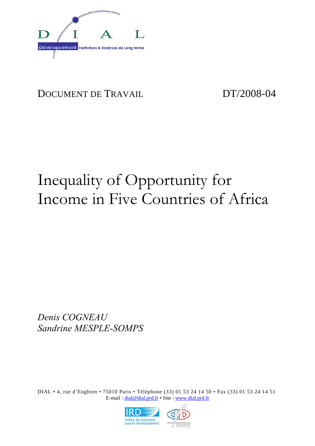

# DOCUMENT DE TRAVAIL DT/2008-04

# Inequality of Opportunity for Income in Five Countries of Africa

*Denis COGNEAU Sandrine MESPLE-SOMPS* 

DIAL • 4, rue d'Enghien • 75010 Paris • Téléphone (33) 01 53 24 14 50 • Fax (33) 01 53 24 14 51 E-mail : dial@dial.prd.fr • Site : www.dial.prd.fr

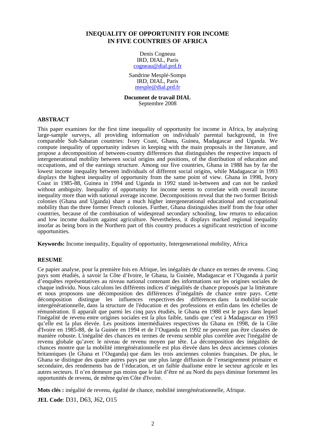#### **INEQUALITY OF OPPORTUNITY FOR INCOME IN FIVE COUNTRIES OF AFRICA**

Denis Cogneau IRD, DIAL, Paris cogneau@dial.prd.fr

Sandrine Mesplé-Somps IRD, DIAL, Paris mesple@dial.prd.fr

**Document de travail DIAL**  Septembre 2008

#### **ABSTRACT**

This paper examines for the first time inequality of opportunity for income in Africa, by analyzing large-sample surveys, all providing information on individuals' parental background, in five comparable Sub-Saharan countries: Ivory Coast, Ghana, Guinea, Madagascar and Uganda. We compute inequality of opportunity indexes in keeping with the main proposals in the literature, and propose a decomposition of between-country differences that distinguishes the respective impacts of intergenerational mobility between social origins and positions, of the distribution of education and occupations, and of the earnings structure. Among our five countries, Ghana in 1988 has by far the lowest income inequality between individuals of different social origins, while Madagascar in 1993 displays the highest inequality of opportunity from the same point of view. Ghana in 1998, Ivory Coast in 1985-88, Guinea in 1994 and Uganda in 1992 stand in-between and can not be ranked without ambiguity. Inequality of opportunity for income seems to correlate with overall income inequality more than with national average income. Decompositions reveal that the two former British colonies (Ghana and Uganda) share a much higher intergenerational educational and occupational mobility than the three former French colonies. Further, Ghana distinguishes itself from the four other countries, because of the combination of widespread secondary schooling, low returns to education and low income dualism against agriculture. Nevertheless, it displays marked regional inequality insofar as being born in the Northern part of this country produces a significant restriction of income opportunities.

**Keywords:** Income inequality, Equality of opportunity, Intergenerational mobility, Africa

#### **RESUME**

Ce papier analyse, pour la première fois en Afrique, les inégalités de chance en termes de revenu. Cinq pays sont étudiés, à savoir la Côte d'Ivoire, le Ghana, la Guinée, Madagascar et l'Ouganda à partir d'enquêtes représentatives au niveau national contenant des informations sur les origines sociales de chaque individu. Nous calculons les différents indices d'inégalités de chance proposés par la littérature et nous proposons une décomposition des différences d'inégalités de chance entre pays. Cette décomposition distingue les influences respectives des différences dans la mobilité sociale intergénérationnelle, dans la structure de l'éducation et des professions et enfin dans les échelles de rémunération. Il apparaît que parmi les cinq pays étudiés, le Ghana en 1988 est le pays dans lequel l'inégalité de revenu entre origines sociales est la plus faible, tandis que c'est à Madagascar en 1993 qu'elle est la plus élevée. Les positions intermédiaires respectives du Ghana en 1998, de la Côte d'Ivoire en 1985-88, de la Guinée en 1994 et de l'Ouganda en 1992 ne peuvent pas être classées de manière robuste. L'inégalité des chances en termes de revenu semble plus corrélée avec l'inégalité de revenu globale qu'avec le niveau de revenu moyen par tête. La décomposition des inégalités de chances montre que la mobilité intergénérationnelle est plus élevée dans les deux anciennes colonies britanniques (le Ghana et l'Ouganda) que dans les trois anciennes colonies françaises. De plus, le Ghana se distingue des quatre autres pays par une plus large diffusion de l'enseignement primaire et secondaire, des rendements bas de l'éducation, et un faible dualisme entre le secteur agricole et les autres secteurs. Il n'en demeure pas moins que le fait d'être né au Nord du pays diminue fortement les opportunités de revenu, de même qu'en Côte d'Ivoire.

**Mots clés :** inégalité de revenu, égalité de chance, mobilité intergénérationnelle, Afrique.

**JEL Code**: D31, D63, J62, O15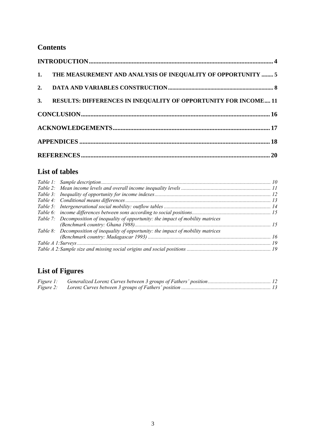### **Contents**

| 1. THE MEASUREMENT AND ANALYSIS OF INEQUALITY OF OPPORTUNITY  5    |  |
|--------------------------------------------------------------------|--|
|                                                                    |  |
| 3. RESULTS: DIFFERENCES IN INEQUALITY OF OPPORTUNITY FOR INCOME 11 |  |
|                                                                    |  |
|                                                                    |  |
|                                                                    |  |
|                                                                    |  |

## **List of tables**

| Table 7: Decomposition of inequality of opportunity: the impact of mobility matrices |  |
|--------------------------------------------------------------------------------------|--|
|                                                                                      |  |
| Table 8: Decomposition of inequality of opportunity: the impact of mobility matrices |  |
|                                                                                      |  |
|                                                                                      |  |
|                                                                                      |  |

## **List of Figures**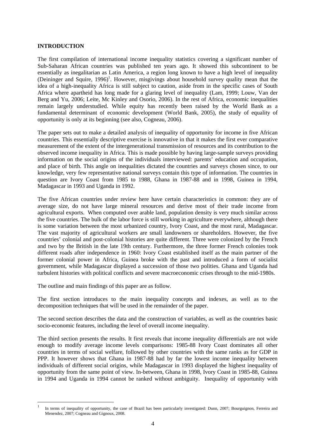#### **INTRODUCTION**

The first compilation of international income inequality statistics covering a significant number of Sub-Saharan African countries was published ten years ago. It showed this subcontinent to be essentially as inegalitarian as Latin America, a region long known to have a high level of inequality (Deininger and Squire, 1996)<sup>1</sup>. However, misgivings about household survey quality mean that the idea of a high-inequality Africa is still subject to caution, aside from in the specific cases of South Africa where apartheid has long made for a glaring level of inequality (Lam, 1999; Louw, Van der Berg and Yu, 2006; Leite, Mc Kinley and Osorio, 2006). In the rest of Africa, economic inequalities remain largely understudied. While equity has recently been raised by the World Bank as a fundamental determinant of economic development (World Bank, 2005), the study of equality of opportunity is only at its beginning (see also, Cogneau, 2006).

The paper sets out to make a detailed analysis of inequality of opportunity for income in five African countries. This essentially descriptive exercise is innovative in that it makes the first ever comparative measurement of the extent of the intergenerational transmission of resources and its contribution to the observed income inequality in Africa. This is made possible by having large-sample surveys providing information on the social origins of the individuals interviewed: parents' education and occupation, and place of birth. This angle on inequalities dictated the countries and surveys chosen since, to our knowledge, very few representative national surveys contain this type of information. The countries in question are Ivory Coast from 1985 to 1988, Ghana in 1987-88 and in 1998, Guinea in 1994, Madagascar in 1993 and Uganda in 1992.

The five African countries under review here have certain characteristics in common: they are of average size, do not have large mineral resources and derive most of their trade income from agricultural exports. When computed over arable land, population density is very much similar across the five countries. The bulk of the labor force is still working in agriculture everywhere, although there is some variation between the most urbanized country, Ivory Coast, and the most rural, Madagascar. The vast majority of agricultural workers are small landowners or shareholders. However, the five countries' colonial and post-colonial histories are quite different. Three were colonized by the French and two by the British in the late 19th century. Furthermore, the three former French colonies took different roads after independence in 1960: Ivory Coast established itself as the main partner of the former colonial power in Africa, Guinea broke with the past and introduced a form of socialist government, while Madagascar displayed a succession of those two polities. Ghana and Uganda had turbulent histories with political conflicts and severe macroeconomic crises through to the mid-1980s.

The outline and main findings of this paper are as follow.

l

The first section introduces to the main inequality concepts and indexes, as well as to the decomposition techniques that will be used in the remainder of the paper.

The second section describes the data and the construction of variables, as well as the countries basic socio-economic features, including the level of overall income inequality.

The third section presents the results. It first reveals that income inequality differentials are not wide enough to modify average income levels comparisons: 1985-88 Ivory Coast dominates all other countries in terms of social welfare, followed by other countries with the same ranks as for GDP in PPP. It however shows that Ghana in 1987-88 had by far the lowest income inequality between individuals of different social origins, while Madagascar in 1993 displayed the highest inequality of opportunity from the same point of view. In-between, Ghana in 1998, Ivory Coast in 1985-88, Guinea in 1994 and Uganda in 1994 cannot be ranked without ambiguity. Inequality of opportunity with

<sup>1</sup> In terms of inequality of opportunity, the case of Brazil has been particularly investigated: Dunn, 2007; Bourguignon, Ferreira and Menendez, 2007; Cogneau and Gignoux, 2008.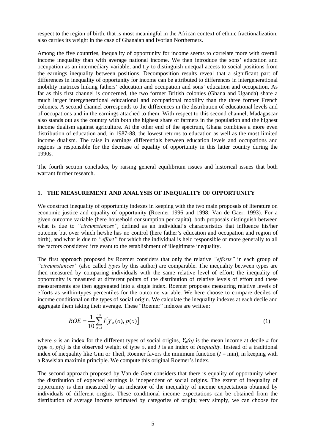respect to the region of birth, that is most meaningful in the African context of ethnic fractionalization, also carries its weight in the case of Ghanaian and Ivorian Northerners.

Among the five countries, inequality of opportunity for income seems to correlate more with overall income inequality than with average national income. We then introduce the sons' education and occupation as an intermediary variable, and try to distinguish unequal access to social positions from the earnings inequality between positions. Decomposition results reveal that a significant part of differences in inequality of opportunity for income can be attributed to differences in intergenerational mobility matrices linking fathers' education and occupation and sons' education and occupation. As far as this first channel is concerned, the two former British colonies (Ghana and Uganda) share a much larger intergenerational educational and occupational mobility than the three former French colonies. A second channel corresponds to the differences in the distribution of educational levels and of occupations and in the earnings attached to them. With respect to this second channel, Madagascar also stands out as the country with both the highest share of farmers in the population and the highest income dualism against agriculture. At the other end of the spectrum, Ghana combines a more even distribution of education and, in 1987-88, the lowest returns to education as well as the most limited income dualism. The raise in earnings differentials between education levels and occupations and regions is responsible for the decrease of equality of opportunity in this latter country during the 1990s.

The fourth section concludes, by raising general equilibrium issues and historical issues that both warrant further research.

#### **1. THE MEASUREMENT AND ANALYSIS OF INEQUALITY OF OPPORTUNITY**

We construct inequality of opportunity indexes in keeping with the two main proposals of literature on economic justice and equality of opportunity (Roemer 1996 and 1998; Van de Gaer, 1993). For a given outcome variable (here household consumption per capita), both proposals distinguish between what is due to *"circumstances"*, defined as an individual's characteristics that influence his/her outcome but over which he/she has no control (here father's education and occupation and region of birth), and what is due to *"effort"* for which the individual is held responsible or more generally to all the factors considered irrelevant to the establishment of illegitimate inequality.

The first approach proposed by Roemer considers that only the relative *"efforts"* in each group of *"circumstances"* (also called *types* by this author) are comparable. The inequality between types are then measured by comparing individuals with the same relative level of effort; the inequality of opportunity is measured at different points of the distribution of relative levels of effort and these measurements are then aggregated into a single index. Roemer proposes measuring relative levels of efforts as within-types percentiles for the outcome variable. We here choose to compare deciles of income conditional on the types of social origin. We calculate the inequality indexes at each decile and aggregate them taking their average. These "Roemer" indexes are written:

$$
ROE = \frac{1}{10} \sum_{\pi=1}^{10} I[Y_{\pi}(o), p(o)] \tag{1}
$$

where *o* is an index for the different types of social origins,  $Y_r$ (*o*) is the mean income at decile  $\pi$  for type *o*, *p(o)* is the observed weight of type *o*, and *I* is an index of *inequality*. Instead of a traditional index of inequality like Gini or Theil, Roemer favors the minimum function  $(I = min)$ , in keeping with a Rawlsian maximin principle. We compute this original Roemer's index.

The second approach proposed by Van de Gaer considers that there is equality of opportunity when the distribution of expected earnings is independent of social origins. The extent of inequality of opportunity is then measured by an indicator of the inequality of income expectations obtained by individuals of different origins. These conditional income expectations can be obtained from the distribution of average income estimated by categories of origin; very simply, we can choose for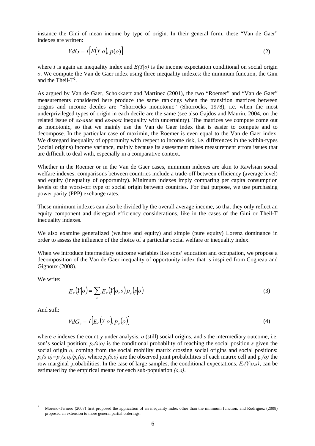instance the Gini of mean income by type of origin. In their general form, these "Van de Gaer" indexes are written:

$$
VdG = I\big[E(Y|o), p(o)\big] \tag{2}
$$

where *I* is again an inequality index and  $E(Y|o)$  is the income expectation conditional on social origin *o*. We compute the Van de Gaer index using three inequality indexes: the minimum function, the Gini and the Theil- $T^2$ .

As argued by Van de Gaer, Schokkaert and Martinez (2001), the two "Roemer" and "Van de Gaer" measurements considered here produce the same rankings when the transition matrices between origins and income deciles are "Shorrocks monotonic" (Shorrocks, 1978), i.e. when the most underprivileged types of origin in each decile are the same (see also Gajdos and Maurin, 2004, on the related issue of *ex-ante* and *ex-post* inequality with uncertainty). The matrices we compute come out as monotonic, so that we mainly use the Van de Gaer index that is easier to compute and to decompose. In the particular case of maximin, the Roemer is even equal to the Van de Gaer index. We disregard inequality of opportunity with respect to income risk, i.e. differences in the within-types (social origins) income variance, mainly because its assessment raises measurement errors issues that are difficult to deal with, especially in a comparative context.

Whether in the Roemer or in the Van de Gaer cases, minimum indexes are akin to Rawlsian social welfare indexes: comparisons between countries include a trade-off between efficiency (average level) and equity (inequality of opportunity). Minimum indexes imply comparing per capita consumption levels of the worst-off type of social origin between countries. For that purpose, we use purchasing power parity (PPP) exchange rates.

These minimum indexes can also be divided by the overall average income, so that they only reflect an equity component and disregard efficiency considerations, like in the cases of the Gini or Theil-T inequality indexes.

We also examine generalized (welfare and equity) and simple (pure equity) Lorenz dominance in order to assess the influence of the choice of a particular social welfare or inequality index.

When we introduce intermediary outcome variables like sons' education and occupation, we propose a decomposition of the Van de Gaer inequality of opportunity index that is inspired from Cogneau and Gignoux (2008).

We write:

$$
E_c(Y|o) = \sum_s E_c(Y|o,s) p_c(s|o)
$$
\n(3)

And still:

l

$$
V dG_c = I \big[ E_c \big( Y \big| o \big), p_c \big( o \big) \big] \tag{4}
$$

where *c* indexes the country under analysis, *o* (still) social origins, and *s* the intermediary outcome, i.e. son's social position;  $p_c(s|o)$  is the conditional probability of reaching the social position *s* given the social origin *o*, coming from the social mobility matrix crossing social origins and social positions:  $p_c(s|o)=p_c(s,o)/p_c(o)$ , where  $p_c(s,o)$  are the observed joint probabilities of each matrix cell and  $p_c(o)$  the row marginal probabilities. In the case of large samples, the conditional expectations,  $E_c(Y|o,s)$ , can be estimated by the empirical means for each sub-population *(o,s)*.

<sup>2</sup> Moreno-Ternero (2007) first proposed the application of an inequality index other than the minimum function, and Rodríguez (2008) proposed an extension to more general partial orderings.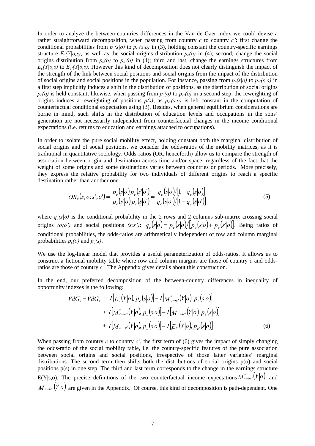In order to analyze the between-countries differences in the Van de Gaer index we could devise a rather straightforward decomposition, when passing from country  $c$  to country  $c'$ : first change the conditional probabilities from  $p_c(s|o)$  to  $p_c(s|o)$  in (3), holding constant the country-specific earnings structure  $E_c(Y|o,s)$ , as well as the social origins distribution  $p_c(o)$  in (4); second, change the social origins distribution from  $p_c$ (o) to  $p_c$ <sup>(o)</sup> in (4); third and last, change the earnings structures from  $E_c(Y|o,s)$  to  $E_c(Y|o,s)$ . However this kind of decomposition does not clearly distinguish the impact of the strength of the link between social positions and social origins from the impact of the distribution of social origins and social positions in the population. For instance, passing from  $p_c(s|o)$  to  $p_c(s|o)$  in a first step implicitly induces a shift in the distribution of positions, as the distribution of social origins  $p_c$ (o) is held constant; likewise, when passing from  $p_c$ (o) to  $p_c$ <sup>'</sup>(o) in a second step, the reweighting of origins induces a reweighting of positions  $p(s)$ , as  $p_c(s|o)$  is left constant in the computation of counterfactual conditional expectation using (3). Besides, when general equilibrium considerations are borne in mind, such shifts in the distribution of education levels and occupations in the sons' generation are not necessarily independent from counterfactual changes in the income conditional expectations (i.e. returns to education and earnings attached to occupations).

In order to isolate the pure social mobility effect, holding constant both the marginal distribution of social origins and of social positions, we consider the odds-ratios of the mobility matrices, as it is traditional in quantitative sociology. Odds-ratios (OR, henceforth) allow us to compare the strength of association between origin and destination across time and/or space, regardless of the fact that the weight of some origins and some destinations varies between countries or periods. More precisely, they express the relative probability for two individuals of different origins to reach a specific destination rather than another one.

$$
OR_c(s, o; s', o') = \frac{p_c(s|o)p_c(s|o')}{p_c(s|o)p_c(s|o')} = \frac{q_c(s|o)/[1 - q_c(s|o)]}{q_c(s|o')/[1 - q_c(s|o')]}
$$
(5)

where  $q_c(s|o)$  is the conditional probability in the 2 rows and 2 columns sub-matrix crossing social origins (o;o') and social positions (s;s'):  $q_c(s|o) = p_c(s|o)/[p_c(s|o) + p_c(s|o)]$ . Being ratios of conditional probabilities, the odds-ratios are arithmetically independent of row and column marginal probabilities  $p_c$ (*o*) and  $p_c$ (*s*).

We use the log-linear model that provides a useful parameterization of odds-ratios. It allows us to construct a fictional mobility table where row and column margins are those of country *c* and oddsratios are those of country *c'*. The Appendix gives details about this construction.

In the end, our preferred decomposition of the between-country differences in inequality of opportunity indexes is the following:

$$
V dG_c - V dG_{c'} = I[E_c(Y|o), p_c(s|o)] - I[M_{c \to c'}^*(Y|o), p_c(s|o)] + I[M_{c \to c'}^*(Y|o), p_c(s|o)] - I[M_{c \to c'}^*(Y|o), p_c(s|o)] + I[M_{c \to c'}^*(Y|o), p_c(s|o)] - I[E_{c'}^*(Y|o), p_c(s|o)]
$$
(6)

When passing from country  $c$  to country  $c'$ , the first term of  $(6)$  gives the impact of simply changing the odds-ratio of the social mobility table, i.e. the country-specific features of the pure association between social origins and social positions, irrespective of those latter variables' marginal distributions. The second term then shifts both the distributions of social origins p(o) and social positions p(s) in one step. The third and last term corresponds to the change in the earnings structure E(Y|s,o). The precise definitions of the two counterfactual income expectations  $M^*_{c\to c'}(Y|o)$  and  $M_{c\rightarrow c'}(Y|\mathbf{o})$  are given in the Appendix. Of course, this kind of decomposition is path-dependent. One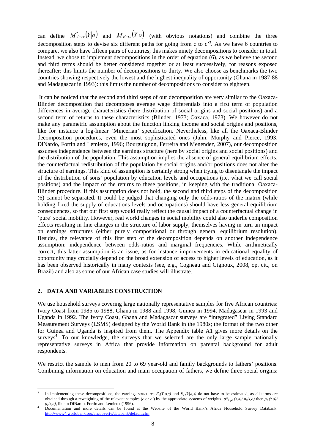can define  $M_{c\to c}^*(Y|o)$  and  $M_{c\to c}(Y|o)$  (with obvious notations) and combine the three decomposition steps to devise six different paths for going from c to  $c^3$ . As we have 6 countries to compare, we also have fifteen pairs of countries; this makes ninety decompositions to consider in total. Instead, we chose to implement decompositions in the order of equation (6), as we believe the second and third terms should be better considered together or at least successively, for reasons exposed thereafter: this limits the number of decompositions to thirty. We also choose as benchmarks the two countries showing respectively the lowest and the highest inequality of opportunity (Ghana in 1987-88 and Madagascar in 1993): this limits the number of decompositions to consider to eighteen.

 It can be noticed that the second and third steps of our decomposition are very similar to the Oaxaca-Blinder decomposition that decomposes average wage differentials into a first term of population differences in average characteristics (here distribution of social origins and social positions) and a second term of returns to these characteristics (Blinder, 1973; Oaxaca, 1973). We however do not make any parametric assumption about the function linking income and social origins and positions, like for instance a log-linear 'Mincerian' specification. Nevertheless, like all the Oaxaca-Blinder decomposition procedures, even the most sophisticated ones (Juhn, Murphy and Pierce, 1993; DiNardo, Fortin and Lemieux, 1996; Bourguignon, Ferreira and Menendez, 2007), our decomposition assumes independence between the earnings structure (here by social origins and social positions) and the distribution of the population. This assumption implies the absence of general equilibrium effects: the counterfactual redistribution of the population by social origins and/or positions does not alter the structure of earnings. This kind of assumption is certainly strong when trying to disentangle the impact of the distribution of sons' population by education levels and occupations (i.e. what we call social positions) and the impact of the returns to these positions, in keeping with the traditional Oaxaca-Blinder procedure. If this assumption does not hold, the second and third steps of the decomposition (6) cannot be separated. It could be judged that changing only the odds-ratios of the matrix (while holding fixed the supply of educations levels and occupations) should have less general equilibrium consequences, so that our first step would really reflect the causal impact of a counterfactual change in 'pure' social mobility. However, real world changes in social mobility could also underlie composition effects resulting in fine changes in the structure of labor supply, themselves having in turn an impact on earnings structures (either purely compositional or through general equilibrium resolution). Besides, the relevance of this first step of the decomposition depends on another independence assumption: independence between odds-ratios and marginal frequencies. While arithmetically correct, this latter assumption is an issue, as for instance improvements in educational equality of opportunity may crucially depend on the broad extension of access to higher levels of education, as it has been observed historically in many contexts (see, e.g., Cogneau and Gignoux, 2008, op. cit., on Brazil) and also as some of our African case studies will illustrate.

#### **2. DATA AND VARIABLES CONSTRUCTION**

We use household surveys covering large nationally representative samples for five African countries: Ivory Coast from 1985 to 1988, Ghana in 1988 and 1998, Guinea in 1994, Madagascar in 1993 and Uganda in 1992. The Ivory Coast, Ghana and Madagascar surveys are "integrated" Living Standard Measurement Surveys (LSMS) designed by the World Bank in the 1980s; the format of the two other for Guinea and Uganda is inspired from them. The Appendix table A1 gives more details on the surveys<sup>4</sup>. To our knowledge, the surveys that we selected are the only large sample nationally representative surveys in Africa that provide information on parental background for adult respondents.

We restrict the sample to men from 20 to 69 year-old and family backgrounds to fathers' positions. Combining information on education and main occupation of fathers, we define three social origins:

l 3 In implementing these decompositions, the earnings structures  $E_c(Y|o,s)$  and  $E_c(Y|o,s)$  do not have to be estimated, as all terms are obtained through a reweighting of the relevant samples (*c* or *c'*) by the appropriate systems of weights:  $p^*(s,0)/p_c(s,0)$  then  $p_c(s,0)/p_c(s,0)$  $p_c(s, o)$ , like in DiNardo, Fortin and Lemieux (1996).

Documentation and more details can be found at the Website of the World Bank's Africa Household Survey Databank: http://www4.worldbank.org/afr/poverty/databank/default.cfm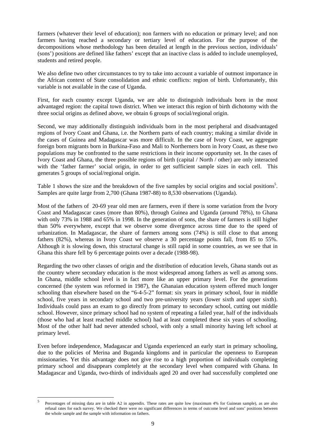farmers (whatever their level of education); non farmers with no education or primary level; and non farmers having reached a secondary or tertiary level of education. For the purpose of the decompositions whose methodology has been detailed at length in the previous section, individuals' (sons') positions are defined like fathers' except that an inactive class is added to include unemployed, students and retired people.

We also define two other circumstances to try to take into account a variable of outmost importance in the African context of State consolidation and ethnic conflicts: region of birth. Unfortunately, this variable is not available in the case of Uganda.

First, for each country except Uganda, we are able to distinguish individuals born in the most advantaged region: the capital town district. When we interact this region of birth dichotomy with the three social origins as defined above, we obtain 6 groups of social/regional origin.

Second, we may additionally distinguish individuals born in the most peripheral and disadvantaged regions of Ivory Coast and Ghana, i.e. the Northern parts of each country; making a similar divide in the cases of Guinea and Madagascar was more difficult. In the case of Ivory Coast, we aggregate foreign born migrants born in Burkina-Faso and Mali to Northerners born in Ivory Coast, as these two populations may be confronted to the same restrictions in their income opportunity set. In the cases of Ivory Coast and Ghana, the three possible regions of birth (capital / North / other) are only interacted with the 'father farmer' social origin, in order to get sufficient sample sizes in each cell. This generates 5 groups of social/regional origin.

Table 1 shows the size and the breakdown of the five samples by social origins and social positions<sup>5</sup>. Samples are quite large from 2,700 (Ghana 1987-88) to 8,530 observations (Uganda).

Most of the fathers of 20-69 year old men are farmers, even if there is some variation from the Ivory Coast and Madagascar cases (more than 80%), through Guinea and Uganda (around 78%), to Ghana with only 73% in 1988 and 65% in 1998. In the generation of sons, the share of farmers is still higher than 50% everywhere, except that we observe some divergence across time due to the speed of urbanization. In Madagascar, the share of farmers among sons (74%) is still close to that among fathers (82%), whereas in Ivory Coast we observe a 30 percentage points fall, from 85 to 55%. Although it is slowing down, this structural change is still rapid in some countries, as we see that in Ghana this share fell by 6 percentage points over a decade (1988-98).

Regarding the two other classes of origin and the distribution of education levels, Ghana stands out as the country where secondary education is the most widespread among fathers as well as among sons. In Ghana, middle school level is in fact more like an upper primary level. For the generations concerned (the system was reformed in 1987), the Ghanaian education system offered much longer schooling than elsewhere based on the "6-4-5-2" format: six years in primary school, four in middle school, five years in secondary school and two pre-university years (lower sixth and upper sixth). Individuals could pass an exam to go directly from primary to secondary school, cutting out middle school. However, since primary school had no system of repeating a failed year, half of the individuals (those who had at least reached middle school) had at least completed these six years of schooling. Most of the other half had never attended school, with only a small minority having left school at primary level.

Even before independence, Madagascar and Uganda experienced an early start in primary schooling, due to the policies of Merina and Buganda kingdoms and in particular the openness to European missionaries. Yet this advantage does not give rise to a high proportion of individuals completing primary school and disappears completely at the secondary level when compared with Ghana. In Madagascar and Uganda, two-thirds of individuals aged 20 and over had successfully completed one

l

<sup>5</sup> Percentages of missing data are in table A2 in appendix. These rates are quite low (maximum 4% for Guinean sample), as are also refusal rates for each survey. We checked there were no significant differences in terms of outcome level and sons' positions between the whole sample and the sample with information on fathers.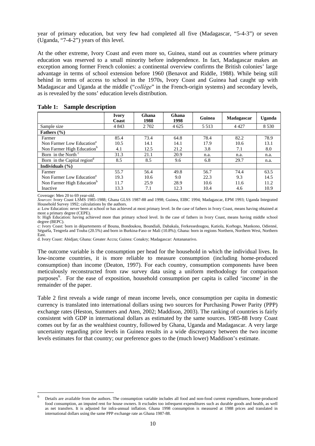year of primary education, but very few had completed all five (Madagascar, "5-4-3") or seven (Uganda, "7-4-2") years of this level.

At the other extreme, Ivory Coast and even more so, Guinea, stand out as countries where primary education was reserved to a small minority before independence. In fact, Madagascar makes an exception among former French colonies: a continental overview confirms the British colonies' large advantage in terms of school extension before 1960 (Benavot and Riddle, 1988). While being still behind in terms of access to school in the 1970s, Ivory Coast and Guinea had caught up with Madagascar and Uganda at the middle ("*collège*" in the French-origin systems) and secondary levels, as is revealed by the sons' education levels distribution.

|                                         | Ivory<br>Coast | Ghana<br>1988 | Ghana<br>1998 | Guinea  | Madagascar | <b>Uganda</b> |
|-----------------------------------------|----------------|---------------|---------------|---------|------------|---------------|
| Sample size                             | 4 8 4 3        | 2 7 0 2       | 4 6 25        | 5 5 1 3 | 4 4 2 7    | 8 5 3 0       |
| Fathers $(\% )$                         |                |               |               |         |            |               |
| Farmer                                  | 85.4           | 73.4          | 64.8          | 78.4    | 82.2       | 78.9          |
| Non Farmer Low Education <sup>a</sup>   | 10.5           | 14.1          | 14.1          | 17.9    | 10.6       | 13.1          |
| Non Farmer High Education <sup>b</sup>  | 4.1            | 12.5          | 21.2          | 3.8     | 7.1        | 8.0           |
| Born in the North <sup>c</sup>          | 31.3           | 21.1          | 20.9          | n.a.    | n.a.       | n.a.          |
| Born in the Capital region <sup>d</sup> | 8.5            | 8.5           | 9.6           | 6.8     | 29.7       | n.a.          |
| Individuals $(\% )$                     |                |               |               |         |            |               |
| Farmer                                  | 55.7           | 56.4          | 49.8          | 56.7    | 74.4       | 63.5          |
| Non Farmer Low Education <sup>a</sup>   | 19.3           | 10.6          | 9.0           | 22.3    | 9.3        | 14.5          |
| Non Farmer High Education <sup>b</sup>  | 11.7           | 25.9          | 28.9          | 10.6    | 11.6       | 11.2.         |
| Inactive                                | 13.3           | 7.1           | 12.3          | 10.4    | 4.6        | 10.9          |

**Table 1: Sample description**

Coverage: Men 20 to 69 year-old.

*Sources*: Ivory Coast LSMS 1985-1988; Ghana GLSS 1987-88 and 1998; Guinea, EIBC 1994; Madagascar, EPM 1993; Uganda Integrated Household Survey 1992; calculations by the authors.

a: Low Education: never been at school or has achieved at most primary level. In the case of fathers in Ivory Coast, means having obtained at most a primary degree (CEPE).

b: High Education: having achieved more than primary school level. In the case of fathers in Ivory Coast, means having middle school degree (BEPC).

c: Ivory Coast: born in départements of Bouna, Bondoukou, Boundiali, Dabakala, Ferkessedougou, Katiola, Korhogo, Mankono, Odienné, Séguéla, Tengrela and Touba (20.5%) and born in Burkina-Faso or Mali (10.8%); Ghana: born in regions Northern, Northern West, Northern East.

d. Ivory Coast: Abidjan; Ghana: Greater Accra; Guinea: Conakry; Madagascar: Antananarivo.

The outcome variable is the consumption per head for the household in which the individual lives. In low-income countries, it is more reliable to measure consumption (including home-produced consumption) than income (Deaton, 1997). For each country, consumption components have been meticulously reconstructed from raw survey data using a uniform methodology for comparison purposes<sup>6</sup>. For the ease of exposition, household consumption per capita is called 'income' in the remainder of the paper.

Table 2 first reveals a wide range of mean income levels, once consumption per capita in domestic currency is translated into international dollars using two sources for Purchasing Power Parity (PPP) exchange rates (Heston, Summers and Aten, 2002; Maddison, 2003). The ranking of countries is fairly consistent with GDP in international dollars as estimated by the same sources. 1985-88 Ivory Coast comes out by far as the wealthiest country, followed by Ghana, Uganda and Madagascar. A very large uncertainty regarding price levels in Guinea results in a wide discrepancy between the two income levels estimates for that country; our preference goes to the (much lower) Maddison's estimate.

 $\frac{1}{6}$  Details are available from the authors. The consumption variable includes all food and non-food current expenditures, home-produced food consumption, an imputed rent for house owners. It excludes too infrequent expenditures such as durable goods and health, as well as net transfers. It is adjusted for infra-annual inflation. Ghana 1998 consumption is measured at 1988 prices and translated in international dollars using the same PPP exchange rate as Ghana 1987-88.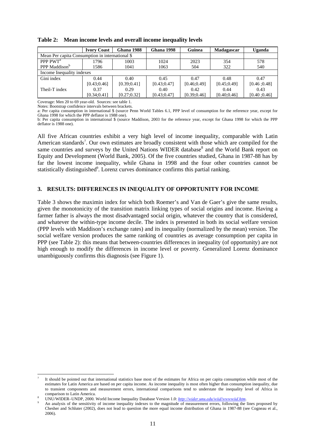|                                                 | <b>Ivory Coast</b> | Ghana 1988   | <b>Ghana 1998</b> | Guinea       | Madagascar   | <b>Uganda</b> |
|-------------------------------------------------|--------------------|--------------|-------------------|--------------|--------------|---------------|
| Mean Per capita Consumption in international \$ |                    |              |                   |              |              |               |
| PPP PWT <sup>a</sup>                            | 1796               | 1003         | 1024              | 2023         | 354          | 578           |
| PPP Maddison <sup>b</sup>                       | 1586               | 1041         | 1063              | 504          | 322          | 540           |
| Income Inequality indexes                       |                    |              |                   |              |              |               |
| Gini index                                      | 0.44               | 0.40         | 0.45              | 0.47         | 0.48         | 0.47          |
|                                                 | [0.43; 0.46]       | [0.39; 0.41] | [0.43; 0.47]      | [0.46; 0.49] | [0.45:0.49]  | [0.46; 0.48]  |
| Theil-T index                                   | 0.37               | 0.29         | 0.40              | 0.42         | 0.44         | 0.43          |
|                                                 | [0.34; 0.41]       | [0.27:0.32]  | [0.43; 0.47]      | [0.39:0.46]  | [0.40; 0.46] | [0.40; 0.46]  |

**Table 2: Mean income levels and overall income inequality levels** 

Coverage: Men 20 to 69 year-old. Sources: see table 1.

Notes: Bootstrap confidence intervals between brackets.

a: Per capita consumption in international \$ (source Penn World Tables 6.1, PPP level of consumption for the reference year, except for Ghana 1998 for which the PPP deflator is 1988 one).

b: Per capita consumption in international \$ (source Maddison, 2003 for the reference year, except for Ghana 1998 for which the PPP deflator is 1988 one).

All five African countries exhibit a very high level of income inequality, comparable with Latin American standards<sup>7</sup>. Our own estimates are broadly consistent with those which are compiled for the same countries and surveys by the United Nations WIDER database<sup>8</sup> and the World Bank report on Equity and Development (World Bank, 2005). Of the five countries studied, Ghana in 1987-88 has by far the lowest income inequality, while Ghana in 1998 and the four other countries cannot be statistically distinguished<sup>9</sup>. Lorenz curves dominance confirms this partial ranking.

#### **3. RESULTS: DIFFERENCES IN INEQUALITY OF OPPORTUNITY FOR INCOME**

Table 3 shows the maximin index for which both Roemer's and Van de Gaer's give the same results, given the monotonicity of the transition matrix linking types of social origins and income. Having a farmer father is always the most disadvantaged social origin, whatever the country that is considered, and whatever the within-type income decile. The index is presented in both its social welfare version (PPP levels with Maddison's exchange rates) and its inequality (normalized by the mean) version. The social welfare version produces the same ranking of countries as average consumption per capita in PPP (see Table 2): this means that between-countries differences in inequality (of opportunity) are not high enough to modify the differences in income level or poverty. Generalized Lorenz dominance unambiguously confirms this diagnosis (see Figure 1).

 $\overline{a}$ 7 It should be pointed out that international statistics base most of the estimates for Africa on per capita consumption while most of the estimates for Latin America are based on per capita income. As income inequality is most often higher than consumption inequality, due to transient components and measurement errors, international comparisons tend to understate the inequality level of Africa in comparison to Latin America.

UNU/WIDER–UNDP, 2000. World Income Inequality Database Version 1.0: *http://wider.unu.edu/wiid/wwwwiid.htm*. 9

An analysis of the sensitivity of income inequality indexes to the magnitude of measurement errors, following the lines proposed by Chesher and Schluter (2002), does not lead to question the more equal income distribution of Ghana in 1987-88 (see Cogneau et al., 2006).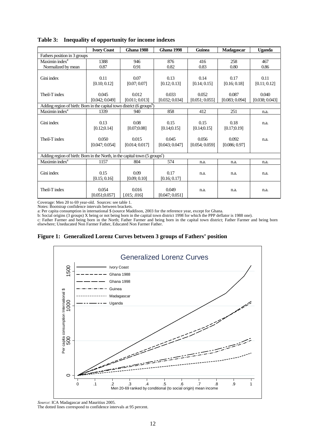|                                                                                         | <b>Ivory Coast</b> | <b>Ghana</b> 1988 | Ghana 1998     | <b>Guinea</b>  | Madagascar     | <b>Uganda</b>  |
|-----------------------------------------------------------------------------------------|--------------------|-------------------|----------------|----------------|----------------|----------------|
| Fathers position in 3 groups                                                            |                    |                   |                |                |                |                |
| Maximin index <sup>a</sup>                                                              | 1388               | 946               | 876            | 416            | 258            | 467            |
| Normalized by mean                                                                      | 0.87               | 0.91              | 0.82           | 0.83           | 0.80           | 0.86           |
|                                                                                         |                    |                   |                |                |                |                |
| Gini index                                                                              | 0.11               | 0.07              | 0.13           | 0.14           | 0.17           | 0.11           |
|                                                                                         | [0.10; 0.12]       | [0.07; 0.07]      | [0.12; 0.13]   | [0.14; 0.15]   | [0.16; 0.18]   | [0.11; 0.12]   |
|                                                                                         |                    |                   |                |                |                |                |
| Theil-T index                                                                           | 0.045              | 0.012             | 0.033          | 0.052          | 0.087          | 0.040          |
|                                                                                         | [0.042; 0.049]     | [0.011; 0.013]    | [0.032; 0.034] | [0.051; 0.055] | [0.083; 0.094] | [0.038; 0.043] |
| Adding region of birth: Born in the capital town district (6 groups <sup>b</sup> )      |                    |                   |                |                |                |                |
| Maximin index <sup>a</sup>                                                              | 1339               | 940               | 858            | 412            | 251            | n.a.           |
|                                                                                         |                    |                   |                |                |                |                |
| Gini index                                                                              | 0.13               | 0.08              | 0.15           | 0.15           | 0.18           | n.a.           |
|                                                                                         | [0.12; 0.14]       | [0.07; 0.08]      | [0.14; 0.15]   | [0.14; 0.15]   | [0.17; 0.19]   |                |
|                                                                                         |                    |                   |                |                |                |                |
| Theil-T index                                                                           | 0.050              | 0.015             | 0.045          | 0.056          | 0.092          | n.a.           |
|                                                                                         | [0.047; 0.054]     | [0.014; 0.017]    | [0.043; 0.047] | [0.054:0.059]  | [0.086: 0.97]  |                |
|                                                                                         |                    |                   |                |                |                |                |
| Adding region of birth: Born in the North, in the capital town (5 groups <sup>c</sup> ) |                    |                   |                |                |                |                |
| Maximin index <sup>a</sup>                                                              | 1157               | 804               | 574            | n.a.           | n.a.           | n.a.           |
|                                                                                         |                    |                   |                |                |                |                |
| Gini index                                                                              | 0.15               | 0.09              | 0.17           | n.a.           | n.a.           | n.a.           |
|                                                                                         | [0.15; 0.16]       | [0.09; 0.10]      | [0.16; 0.17]   |                |                |                |
|                                                                                         |                    |                   |                |                |                |                |
| Theil-T index                                                                           | 0.054              | 0.016             | 0.049          | n.a.           | n.a.           | n.a.           |
|                                                                                         | [0.051; 0.057]     | [.015; .016]      | [0.047; 0.051] |                |                |                |

#### **Table 3: Inequality of opportunity for income indexes**

Coverage: Men 20 to 69 year-old. Sources: see table 1.

Notes: Bootstrap confidence intervals between brackets.

a: Per capita consumption in international \$ (source Maddison, 2003 for the reference year, except for Ghana.

b: Social origins (3 groups) X being or not being born in the capital town district 1998 for which the PPP deflator is 1988 one). c: Father Farmer and being born in the North; Father Farmer and being born in the capital town district; Father Farmer and being born elsewhere; Uneducated Non Farmer Father, Educated Non Farmer Father.

**Figure 1: Generalized Lorenz Curves between 3 groups of Fathers' position** 



*Source*: ICA Madagascar and Mauritius 2005.

The dotted lines correspond to confidence intervals at 95 percent.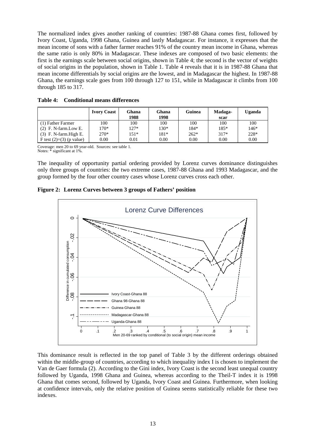The normalized index gives another ranking of countries: 1987-88 Ghana comes first, followed by Ivory Coast, Uganda, 1998 Ghana, Guinea and lastly Madagascar. For instance, it expresses that the mean income of sons with a father farmer reaches 91% of the country mean income in Ghana, whereas the same ratio is only 80% in Madagascar. These indexes are composed of two basic elements: the first is the earnings scale between social origins, shown in Table 4; the second is the vector of weights of social origins in the population, shown in Table 1. Table 4 reveals that it is in 1987-88 Ghana that mean income differentials by social origins are the lowest, and in Madagascar the highest. In 1987-88 Ghana, the earnings scale goes from 100 through 127 to 151, while in Madagascar it climbs from 100 through 185 to 317.

|                            | <b>Ivory Coast</b> | Ghana<br>1988 | Ghana<br>1998 | Guinea | Madaga-<br>scar | Uganda |
|----------------------------|--------------------|---------------|---------------|--------|-----------------|--------|
| (1) Father Farmer          | 100                | 100           | 100           | 100    | 100             | 100    |
| $(2)$ F. N-farm. Low E.    | $170*$             | $127*$        | $130*$        | $184*$ | $185*$          | 146*   |
| $(3)$ F. N-farm. High E.   | $270*$             | $151*$        | $181*$        | $262*$ | $317*$          | 228*   |
| F test $(2)=(3)$ (p value) | 0.00               | 0.01          | 0.00          | 0.00   | 0.00            | 0.00   |

Coverage: men 20 to 69 year-old. Sources: see table 1. Notes: \* significant at 1%.

The inequality of opportunity partial ordering provided by Lorenz curves dominance distinguishes only three groups of countries: the two extreme cases, 1987-88 Ghana and 1993 Madagascar, and the group formed by the four other country cases whose Lorenz curves cross each other.

#### **Figure 2: Lorenz Curves between 3 groups of Fathers' position**



This dominance result is reflected in the top panel of Table 3 by the different orderings obtained within the middle-group of countries, according to which inequality index I is chosen to implement the Van de Gaer formula (2). According to the Gini index, Ivory Coast is the second least unequal country followed by Uganda, 1998 Ghana and Guinea, whereas according to the Theil-T index it is 1998 Ghana that comes second, followed by Uganda, Ivory Coast and Guinea. Furthermore, when looking at confidence intervals, only the relative position of Guinea seems statistically reliable for these two indexes.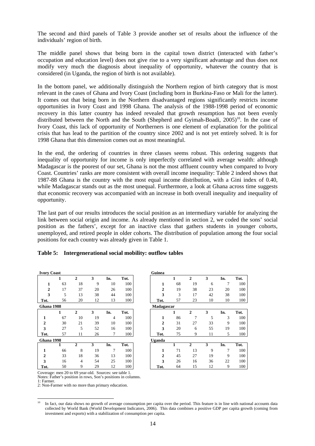The second and third panels of Table 3 provide another set of results about the influence of the individuals' region of birth.

The middle panel shows that being born in the capital town district (interacted with father's occupation and education level) does not give rise to a very significant advantage and thus does not modify very much the diagnosis about inequality of opportunity, whatever the country that is considered (in Uganda, the region of birth is not available).

In the bottom panel, we additionally distinguish the Northern region of birth category that is most relevant in the cases of Ghana and Ivory Coast (including born in Burkina-Faso or Mali for the latter). It comes out that being born in the Northern disadvantaged regions significantly restricts income opportunities in Ivory Coast and 1998 Ghana. The analysis of the 1988-1998 period of economic recovery in this latter country has indeed revealed that growth resumption has not been evenly distributed between the North and the South (Shepherd and Gyimah-Boadi,  $2005$ )<sup>10</sup>. In the case of Ivory Coast, this lack of opportunity of Northerners is one element of explanation for the political crisis that has lead to the partition of the country since 2002 and is not yet entirely solved. It is for 1998 Ghana that this dimension comes out as most meaningful.

In the end, the ordering of countries in three classes seems robust. This ordering suggests that inequality of opportunity for income is only imperfectly correlated with average wealth: although Madagascar is the poorest of our set, Ghana is not the most affluent country when compared to Ivory Coast. Countries' ranks are more consistent with overall income inequality: Table 2 indeed shows that 1987-88 Ghana is the country with the most equal income distribution, with a Gini index of 0.40, while Madagascar stands out as the most unequal. Furthermore, a look at Ghana across time suggests that economic recovery was accompanied with an increase in both overall inequality and inequality of opportunity.

The last part of our results introduces the social position as an intermediary variable for analyzing the link between social origin and income. As already mentioned in section 2, we coded the sons' social position as the fathers', except for an inactive class that gathers students in younger cohorts, unemployed, and retired people in older cohorts. The distribution of population among the four social positions for each country was already given in Table 1.

| <b>Ivory Coast</b> |    |                |    |                |      | Guinea       |    |                |    |     |
|--------------------|----|----------------|----|----------------|------|--------------|----|----------------|----|-----|
|                    | 1  | $\overline{2}$ | 3  | In.            | Tot. |              | 1  | $\overline{2}$ | 3  | In. |
| 1                  | 63 | 18             | 9  | 10             | 100  | 1            | 68 | 19             | 6  | 7   |
| $\overline{2}$     | 17 | 37             | 20 | 26             | 100  | $\mathbf{2}$ | 19 | 38             | 23 | 20  |
| 3                  | 5  | 13             | 38 | 44             | 100  | 3            | 3  | 17             | 42 | 38  |
| Tot.               | 56 | 20             | 12 | 13             | 100  | Tot.         | 57 | 23             | 10 | 10  |
| Ghana 1988         |    |                |    |                |      | Madagascar   |    |                |    |     |
|                    | 1  | $\overline{2}$ | 3  | In.            | Tot. |              |    | $\mathbf{2}$   | 3  | In. |
| 1                  | 67 | 10             | 19 | $\overline{4}$ | 100  | 1            | 86 | 7              | 5  | 3   |
| 2                  | 30 | 21             | 39 | 10             | 100  | $\mathbf{2}$ | 31 | 27             | 33 | 9   |
| 3                  | 27 | 5              | 52 | 16             | 100  | 3            | 20 | 6              | 55 | 19  |
| Tot.               | 57 | 11             | 26 | 7              | 100  | Tot.         | 75 | 9              | 11 | 5   |
| Ghana 1998         |    |                |    |                |      | Uganda       |    |                |    |     |
|                    |    | $\mathbf{2}$   | 3  | In.            | Tot. |              |    | 2              | 3  | In. |
| 1                  | 66 | 8              | 19 | 7              | 100  | 1            | 71 | 13             | 9  | 7   |
| $\mathbf{2}$       | 33 | 18             | 36 | 13             | 100  | $\mathbf{2}$ | 45 | 27             | 19 | 9   |
| 3                  | 16 | 4              | 54 | 25             | 100  | 3            | 26 | 16             | 36 | 22  |
| Tot.               | 50 | 9              | 29 | 12             | 100  | Tot.         | 64 | 15             | 12 | 9   |

|  | Table 5: Intergenerational social mobility: outflow tables |  |  |
|--|------------------------------------------------------------|--|--|
|--|------------------------------------------------------------|--|--|

| vory Coast   |    |                |    |     |      | Guinea     |    |                |    |     |      |
|--------------|----|----------------|----|-----|------|------------|----|----------------|----|-----|------|
|              | 1  | $\overline{2}$ | 3  | In. | Tot. |            |    | $\mathbf{2}$   | 3  | In. | Tot. |
| 1            | 63 | 18             | 9  | 10  | 100  | ı          | 68 | 19             | 6  | 7   | 100  |
| $\mathbf{2}$ | 17 | 37             | 20 | 26  | 100  | 2          | 19 | 38             | 23 | 20  | 100  |
| 3            | 5  | 13             | 38 | 44  | 100  | 3          | 3  | 17             | 42 | 38  | 100  |
| Tot.         | 56 | 20             | 12 | 13  | 100  | Tot.       | 57 | 23             | 10 | 10  | 100  |
| 3hana 1988   |    |                |    |     |      | Madagascar |    |                |    |     |      |
|              | 1  | $\overline{2}$ | 3  | In. | Tot. |            | 1  | $\overline{2}$ | 3  | In. | Tot. |
| 1            | 67 | 10             | 19 | 4   | 100  | 1          | 86 | 7              | 5  | 3   | 100  |
| 2            | 30 | 21             | 39 | 10  | 100  | 2          | 31 | 27             | 33 | 9   | 100  |
| 3            | 27 | 5              | 52 | 16  | 100  | 3          | 20 | 6              | 55 | 19  | 100  |
| Tot.         | 57 | 11             | 26 | 7   | 100  | Tot.       | 75 | 9              | 11 | 5   | 100  |
| Fhana 1998   |    |                |    |     |      | Uganda     |    |                |    |     |      |
|              |    | $\overline{2}$ | 3  | In. | Tot. |            |    | 2              | 3  | In. | Tot. |
| 1            | 66 | 8              | 19 | 7   | 100  | 1          | 71 | 13             | 9  | 7   | 100  |
| 2            | 33 | 18             | 36 | 13  | 100  | 2          | 45 | 27             | 19 | 9   | 100  |
| 3            | 16 | 4              | 54 | 25  | 100  | 3          | 26 | 16             | 36 | 22  | 100  |
| Tot.         | 50 | 9              | 29 | 12  | 100  | Tot.       | 64 | 15             | 12 | 9   | 100  |

Coverage: men 20 to 69 year-old. Sources: see table 1.

Notes: Father's position in rows, Son's positions in columns. 1: Farmer.

2: Non-Farmer with no more than primary education.

l 10 In fact, our data shows no growth of average consumption per capita over the period. This feature is in line with national accounts data collected by World Bank (World Development Indicators, 2006). This data combines a positive GDP per capita growth (coming from investment and exports) with a stabilization of consumption per capita.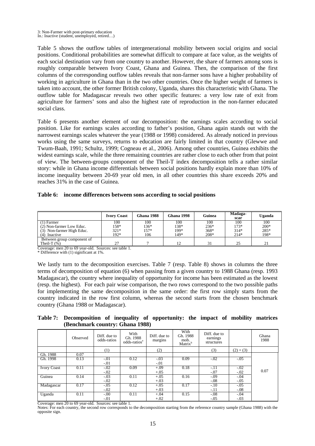In.: Inactive (student, unemployed, retired…)

Table 5 shows the outflow tables of intergenerational mobility between social origins and social positions. Conditional probabilities are somewhat difficult to compare at face value, as the weights of each social destination vary from one country to another. However, the share of farmers among sons is roughly comparable between Ivory Coast, Ghana and Guinea. Then, the comparison of the first columns of the corresponding outflow tables reveals that non-farmer sons have a higher probability of working in agriculture in Ghana than in the two other countries. Once the higher weight of farmers is taken into account, the other former British colony, Uganda, shares this characteristic with Ghana. The outflow table for Madagascar reveals two other specific features: a very low rate of exit from agriculture for farmers' sons and also the highest rate of reproduction in the non-farmer educated social class.

Table 6 presents another element of our decomposition: the earnings scales according to social position. Like for earnings scales according to father's position, Ghana again stands out with the narrowest earnings scales whatever the year (1988 or 1998) considered. As already noticed in previous works using the same surveys, returns to education are fairly limited in that country (Glewwe and Twum-Baah, 1991; Schultz, 1999; Cogneau et al., 2006). Among other countries, Guinea exhibits the widest earnings scale, while the three remaining countries are rather close to each other from that point of view. The between-groups component of the Theil-T index decomposition tells a rather similar story: while in Ghana income differentials between social positions hardly explain more than 10% of income inequality between 20-69 year old men, in all other countries this share exceeds 20% and reaches 31% in the case of Guinea.

#### **Table 6: income differences between sons according to social positions**

|                            | <b>Ivory Coast</b> | <b>Ghana</b> 1988 | Ghana 1998 | Guinea | Madaga-<br>scar | Uganda |
|----------------------------|--------------------|-------------------|------------|--------|-----------------|--------|
| (1) Farmer                 | 100                | 100               | 100        | 100    | 100             | 100    |
| (2) Non-farmer Low Educ.   | 158*               | 136*              | 138*       | $236*$ | $173*$          | $200*$ |
| (3) Non-farmer High Educ.  | $321*$             | $157*$            | 199*       | $368*$ | $314*$          | 285*   |
| (4) Inactive               | $192*$             | 106               | 149*       | $208*$ | $214*$          | 198*   |
| Between group component of |                    |                   |            |        |                 |        |
| Theil-T $(\%)$             | 27                 |                   | 12         | 31     | 25              | 21     |

Coverage: men 20 to 69 year-old. Sources: see table 1.

\* Difference with (1) significant at 1%.

We lastly turn to the decomposition exercises. Table 7 (resp. Table 8) shows in columns the three terms of decomposition of equation (6) when passing from a given country to 1988 Ghana (resp. 1993 Madagascar), the country where inequality of opportunity for income has been estimated as the lowest (resp. the highest). For each pair wise comparison, the two rows correspond to the two possible paths for implementing the same decomposition in the same order: the first row simply starts from the country indicated in the row first column, whereas the second starts from the chosen benchmark country (Ghana 1988 or Madagascar).

**Table 7: Decomposition of inequality of opportunity: the impact of mobility matrices (Benchmark country: Ghana 1988)** 

|                    | Observed | Diff. due to<br>odds-ratios | With<br>Gh. 1988<br>odds-ratios <sup>a</sup> | Diff. due to<br>margins | With<br>Gh. 1988<br>mob.<br>Matrix <sup>b</sup> | Diff. due to<br>earnings<br>structures |           | Ghana<br>1988 |
|--------------------|----------|-----------------------------|----------------------------------------------|-------------------------|-------------------------------------------------|----------------------------------------|-----------|---------------|
|                    |          | (1)                         |                                              | (2)                     |                                                 | (3)                                    | $(2)+(3)$ |               |
| Gh. 1988           | 0.07     |                             |                                              |                         |                                                 |                                        |           |               |
| Gh. 1998           | 0.13     | $-.01$                      | 0.12                                         | $-.03$                  | 0.09                                            | $-.02$                                 | $-.05$    |               |
|                    |          | $-.01$                      |                                              | $-.01$                  |                                                 |                                        |           |               |
| <b>Ivory Coast</b> | 0.11     | $-.02$                      | 0.09                                         | $+.09$                  | 0.18                                            | $-.11$                                 | $-.02$    |               |
|                    |          | $-.02$                      |                                              | $+.05$                  |                                                 | $-.07$                                 | $-.02$    | 0.07          |
| Guinea             | 0.14     | $-.03$                      | 0.11                                         | $+0.05$                 | 0.16                                            | $-.09$                                 | $-.04$    |               |
|                    |          | $-.02$                      |                                              | $+.03$                  |                                                 | $-.08$                                 | $-.05$    |               |
| Madagascar         | 0.17     | $-.05$                      | 0.12                                         | $+.05$                  | 0.17                                            | $-.10$                                 | $-.05$    |               |
|                    |          | $-.02$                      |                                              | $+.03$                  |                                                 | $-.11$                                 | $-.08$    |               |
| Uganda             | 0.11     | $-.00$                      | 0.11                                         | $+.04$                  | 0.15                                            | $-0.08$                                | $-.04$    |               |
|                    |          | $-.01$                      |                                              | $+.02$                  |                                                 | $-.05$                                 | $-.03$    |               |

Coverage: men 20 to 69 year-old. Sources: see table 1.

Notes: For each country, the second row corresponds to the decomposition starting from the reference country sample (Ghana 1988) with the opposite sign.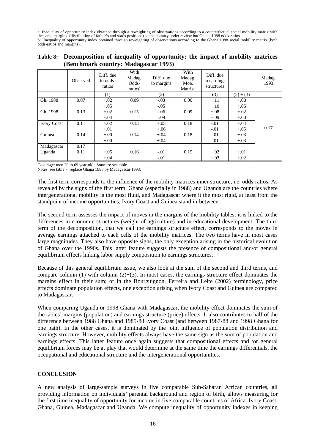a: Inequality of opportunity index obtained through a reweighting of observations according to a counterfactual social mobility matrix with the same margins (distribution of father's and son's positions) as the country under review but Ghana 1988 odds-ratios. b: Inequality of opportunity index obtained through reweighting of observations according to the Ghana 1988 social mobility matrix (both odds-ratios and margins).

|                    | <b>Observed</b> | Diff. due<br>to odds-<br>ratios | With<br>Madag.<br>Odds-<br>ratios <sup>a</sup> | Diff. due<br>to margins | With<br>Madag.<br>Mob.<br>Matrix <sup>b</sup> | Diff. due<br>to earnings<br>structures |             | Madag.<br>1993 |
|--------------------|-----------------|---------------------------------|------------------------------------------------|-------------------------|-----------------------------------------------|----------------------------------------|-------------|----------------|
|                    |                 | (1)                             |                                                | (2)                     |                                               | (3)                                    | $(2) + (3)$ |                |
| Gh. 1988           | 0.07            | $+.02$                          | 0.09                                           | $-.03$                  | 0.06                                          | $+.11$                                 | $+.08$      |                |
|                    |                 | $+.05$                          |                                                | $-.05$                  |                                               | $+.10$                                 | $+.05$      |                |
| Gh. 1998           | 0.13            | $+.02$                          | 0.15                                           | $-0.06$                 | 0.09                                          | $+.08$                                 | $+.02$      |                |
|                    |                 | $+.04$                          |                                                | $-.09$                  |                                               | $+.09$                                 | $+00.$      |                |
| <b>Ivory Coast</b> | 0.11            | $+.02$                          | 0.13                                           | $+.05$                  | 0.18                                          | $-.01$                                 | $+.04$      |                |
|                    |                 | $+.01$                          |                                                | $+.06$                  |                                               | $-.01$                                 | $+.05$      | 0.17           |
| Guinea             | 0.14            | $+00.$                          | 0.14                                           | $+.04$                  | 0.18                                          | $-.01$                                 | $+.03$      |                |
|                    |                 | $+0.00$                         |                                                | $+.04$                  |                                               | $-.01$                                 | $+.03$      |                |
| Madagascar         | 0.17            |                                 |                                                |                         |                                               |                                        |             |                |
| Uganda             | 0.11            | $+.05$                          | 0.16                                           | $-.01$                  | 0.15                                          | $+.02$                                 | $+.01$      |                |
|                    |                 | $+.04$                          |                                                | $-.01$                  |                                               | $+.03$                                 | $+.02$      |                |

#### **Table 8: Decomposition of inequality of opportunity: the impact of mobility matrices (Benchmark country: Madagascar 1993)**

Coverage: men 20 to 69 year-old. Sources: see table 1.

Notes: see table 7, replace Ghana 1988 by Madagascar 1993.

The first term corresponds to the influence of the mobility matrices inner structure, i.e. odds-ratios. As revealed by the signs of the first term, Ghana (especially in 1988) and Uganda are the countries where intergenerational mobility is the most fluid, and Madagascar where it the most rigid, at least from the standpoint of income opportunities; Ivory Coast and Guinea stand in-between.

The second term assesses the impact of moves in the margins of the mobility tables; it is linked to the differences in economic structures (weight of agriculture) and in educational development. The third term of the decomposition, that we call the earnings structure effect, corresponds to the moves in average earnings attached to each cells of the mobility matrices. The two terms have in most cases large magnitudes. They also have opposite signs, the only exception arising in the historical evolution of Ghana over the 1990s. This latter feature suggests the presence of compositional and/or general equilibrium effects linking labor supply composition to earnings structures.

Because of this general equilibrium issue, we also look at the sum of the second and third terms, and compare column  $(1)$  with column  $(2)+(3)$ . In most cases, the earnings structure effect dominates the margins effect in their sum; or in the Bourguignon, Ferreira and Leite (2002) terminology, price effects dominate population effects, one exception arising when Ivory Coast and Guinea are compared to Madagascar.

When comparing Uganda or 1998 Ghana with Madagascar, the mobility effect dominates the sum of the tables' margins (population) and earnings structure (price) effects. It also contributes to half of the difference between 1988 Ghana and 1985-88 Ivory Coast (and between 1987-88 and 1998 Ghana for one path). In the other cases, it is dominated by the joint influence of population distribution and earnings structure. However, mobility effects always have the same sign as the sum of population and earnings effects. This latter feature once again suggests that compositional effects and /or general equilibrium forces may be at play that would determine at the same time the earnings differentials, the occupational and educational structure and the intergenerational opportunities.

#### **CONCLUSION**

A new analysis of large-sample surveys in five comparable Sub-Saharan African countries, all providing information on individuals' parental background and region of birth, allows measuring for the first time inequality of opportunity for income in five comparable countries of Africa: Ivory Coast, Ghana, Guinea, Madagascar and Uganda. We compute inequality of opportunity indexes in keeping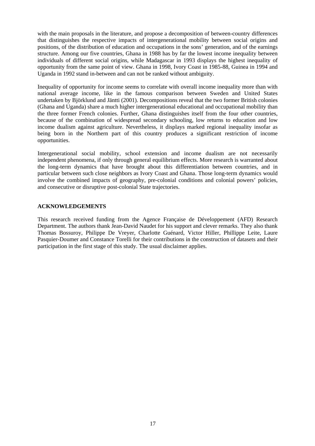with the main proposals in the literature, and propose a decomposition of between-country differences that distinguishes the respective impacts of intergenerational mobility between social origins and positions, of the distribution of education and occupations in the sons' generation, and of the earnings structure. Among our five countries, Ghana in 1988 has by far the lowest income inequality between individuals of different social origins, while Madagascar in 1993 displays the highest inequality of opportunity from the same point of view. Ghana in 1998, Ivory Coast in 1985-88, Guinea in 1994 and Uganda in 1992 stand in-between and can not be ranked without ambiguity.

Inequality of opportunity for income seems to correlate with overall income inequality more than with national average income, like in the famous comparison between Sweden and United States undertaken by Björklund and Jäntti (2001). Decompositions reveal that the two former British colonies (Ghana and Uganda) share a much higher intergenerational educational and occupational mobility than the three former French colonies. Further, Ghana distinguishes itself from the four other countries, because of the combination of widespread secondary schooling, low returns to education and low income dualism against agriculture. Nevertheless, it displays marked regional inequality insofar as being born in the Northern part of this country produces a significant restriction of income opportunities.

Intergenerational social mobility, school extension and income dualism are not necessarily independent phenomena, if only through general equilibrium effects. More research is warranted about the long-term dynamics that have brought about this differentiation between countries, and in particular between such close neighbors as Ivory Coast and Ghana. Those long-term dynamics would involve the combined impacts of geography, pre-colonial conditions and colonial powers' policies, and consecutive or disruptive post-colonial State trajectories.

#### **ACKNOWLEDGEMENTS**

This research received funding from the Agence Française de Développement (AFD) Research Department. The authors thank Jean-David Naudet for his support and clever remarks. They also thank Thomas Bossuroy, Philippe De Vreyer, Charlotte Guénard, Victor Hiller, Phillippe Leite, Laure Pasquier-Doumer and Constance Torelli for their contributions in the construction of datasets and their participation in the first stage of this study. The usual disclaimer applies.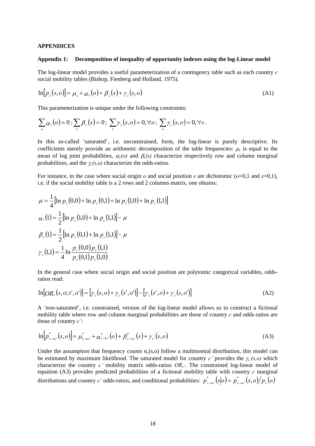#### **APPENDICES**

#### **Appendix 1: Decomposition of inequality of opportunity indexes using the log-Linear model**

The log-linear model provides a useful parameterization of a contingency table such as each country *c* social mobility tables (Bishop, Fienberg and Holland, 1975).

$$
\ln[p_c(s, o)] = \mu_c + \alpha_c(o) + \beta_c(s) + \gamma_c(s, o)
$$
\n(A1)

This parameterization is unique under the following constraints:

$$
\sum_{o} \alpha_{c}(o) = 0 ; \sum_{s} \beta_{c}(s) = 0 ; \sum_{s} \gamma_{c}(s, o) = 0, \forall o ; \sum_{o} \gamma_{c}(s, o) = 0, \forall s.
$$

In this so-called 'saturated', i.e. unconstrained, form, the log-linear is purely descriptive. Its coefficients merely provide an arithmetic decomposition of the table frequencies:  $\mu_c$  is equal to the mean of log joint probabilities,  $\alpha_c$ (*o*) and  $\beta_c$ (*s*) characterize respectively row and column marginal probabilities, and the  $\gamma_c(s, o)$  characterize the odds-ratios.

For instance, in the case where social origin *o* and social position *s* are dichotomic ( $o=0,1$  and  $s=0,1$ ), i.e. if the social mobility table is a 2 rows and 2 columns matrix, one obtains:

$$
\mu = \frac{1}{4} \left[ \ln p_c(0,0) + \ln p_c(0,1) + \ln p_c(1,0) + \ln p_c(1,1) \right]
$$
  
\n
$$
\alpha_c(1) = \frac{1}{2} \left[ \ln p_c(1,0) + \ln p_c(1,1) \right] - \mu
$$
  
\n
$$
\beta_c(1) = \frac{1}{2} \left[ \ln p_c(0,1) + \ln p_c(1,1) \right] - \mu
$$
  
\n
$$
\gamma_c(1,1) = \frac{1}{4} \ln \frac{p_c(0,0) p_c(1,1)}{p_c(0,1) p_c(1,0)}
$$

In the general case where social origin and social position are polytomic categorical variables, oddsratios read:

$$
\ln[OR_c(s, o; s', o')] = [\gamma_c(s, o) + \gamma_c(s', o')] - [\gamma_c(s', o) + \gamma_c(s, o')]
$$
\n(A2)

A 'non-saturated', i.e. constrained, version of the log-linear model allows us to construct a fictional mobility table where row and column marginal probabilities are those of country *c* and odds-ratios are those of country *c'*:

$$
\ln[p_{c \to c}^{*}(s, o)] = \mu_{c \to c'}^{*} + \alpha_{c \to c'}^{*}(o) + \beta_{c \to c'}^{*}(s) + \gamma_{c'}(s, o)
$$
\n(A3)

Under the assumption that frequency counts  $n_c(s, o)$  follow a multinomial distribution, this model can be estimated by maximum likelihood. The saturated model for country *c'* provides the γ*c'(s,o)* which characterize the country *c'* mobility matrix odds-ratios *ORc'*. The constrained log-linear model of equation (A3) provides predicted probabilities of a fictional mobility table with country *c* marginal distributions and country *c*' odds-ratios, and conditional probabilities:  $p_{c\to c'}^*(s|o) = p_{c\to c'}^*(s,o)/p_c(o)$  $\int_{c \to c'}^{*} (s | o) = p_{c \to c'}^{*} (s, o) / p_c (o)$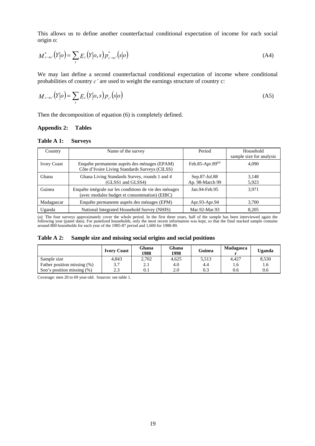This allows us to define another counterfactual conditional expectation of income for each social origin o:

$$
M^*_{c \to c'}(Y|o) = \sum_{s} E_c(Y|o,s) p^*_{c \to c'}(s|o)
$$
\n(A4)

We may last define a second counterfactual conditional expectation of income where conditional probabilities of country *c'* are used to weight the earnings structure of country c:

$$
M_{c \to c'}(Y|o) = \sum_{s} E_c(Y|o,s) p_c(s|o)
$$
 (A5)

Then the decomposition of equation (6) is completely defined.

#### **Appendix 2: Tables**

| Table A 1: | <b>Surveys</b> |
|------------|----------------|
|------------|----------------|

| Country            | Name of the survey                                                                                      | Period                           | Household<br>sample size for analysis |
|--------------------|---------------------------------------------------------------------------------------------------------|----------------------------------|---------------------------------------|
| <b>Ivory Coast</b> | Enquête permanente auprès des ménages (EPAM)<br>Côte d'Ivoire Living Standards Surveys (CILSS)          | Feb.85-Apr.89 $^{(a)}$           | 4.090                                 |
| Ghana              | Ghana Living Standards Survey, rounds 1 and 4<br>(GLSS1 and GLSS4)                                      | Sep.87-Jul.88<br>Ap. 98-March 99 | 3,148<br>5,923                        |
| Guinea             | Enquête intégrale sur les conditions de vie des ménages<br>(avec modules budget et consommation) (EIBC) | Jan.94-Feb.95                    | 3,971                                 |
| Madagascar         | Enquête permanente auprès des ménages (EPM)                                                             | Apr.93-Apr.94                    | 3,700                                 |
| Uganda             | National Integrated Household Survey (NHIS)                                                             | Mar.92-Mar.93                    | 8.205                                 |

(a): The four surveys approximately cover the whole period. In the first three years, half of the sample has been interviewed again the following year (panel data). For panelized households, only the most recent information was kept, so that the final stacked sample contains around 800 households for each year of the 1985-87 period and 1,600 for 1988-89.

#### **Table A 2: Sample size and missing social origins and social positions**

|                               | <b>Ivory Coast</b> | Ghana<br>1988 | Ghana<br>1998 | Guinea | Madagasca | Uganda |
|-------------------------------|--------------------|---------------|---------------|--------|-----------|--------|
| Sample size                   | 4.843              | 2,702         | 4.625         | 5.513  | 4.427     | 8.530  |
| Father position missing (%)   | 3.7                | 2.1           | 4.0           | 4.4    | L.h       | 1.6    |
| Son's position missing $(\%)$ | 2.3                | 0.1           | 2.0           | 0.3    | 0.6       | 0.6    |

Coverage: men 20 to 69 year-old. Sources: see table 1.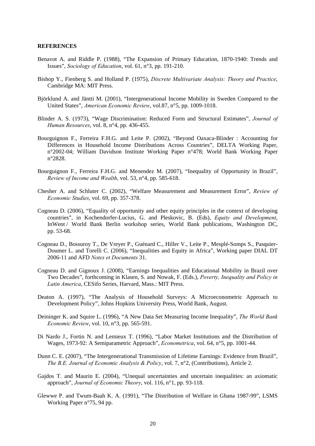#### **REFERENCES**

- Benavot A. and Riddle P. (1988), "The Expansion of Primary Education, 1870-1940: Trends and Issues", *Sociology of Education*, vol. 61, n°3, pp. 191-210.
- Bishop Y., Fienberg S. and Holland P. (1975), *Discrete Multivariate Analysis: Theory and Practice*, Cambridge MA: MIT Press.
- Björklund A. and Jäntti M. (2001), "Intergenerational Income Mobility in Sweden Compared to the United States", *American Economic Review*, vol.87, n°5, pp. 1009-1018.
- Blinder A. S. (1973), "Wage Discrimination: Reduced Form and Structural Estimates", *Journal of Human Resources*, vol. 8, n°4, pp. 436-455.
- Bourguignon F., Ferreira F.H.G. and Leite P. (2002), "Beyond Oaxaca-Blinder : Accounting for Differences in Household Income Distributions Across Countries", DELTA Working Paper, n°2002-04; William Davidson Institute Working Paper n°478; World Bank Working Paper n°2828.
- Bourguignon F., Ferreira F.H.G. and Menendez M. (2007), "Inequality of Opportunity in Brazil", *Review of Income and Wealth*, vol. 53, n°4, pp. 585-618.
- Chesher A. and Schluter C. (2002), "Welfare Measurement and Measurement Error", *Review of Economic Studies*, vol. 69, pp. 357-378.
- Cogneau D. (2006), "Equality of opportunity and other equity principles in the context of developing countries", in Kochendorfer-Lucius, G. and Pleskovic, B. (Eds), *Equity and Development*, InWent / World Bank Berlin workshop series, World Bank publications, Washington DC, pp. 53-68.
- Cogneau D., Bossuroy T., De Vreyer P., Guénard C., Hiller V., Leite P., Mesplé-Somps S., Pasquier-Doumer L. and Torelli C. (2006), "Inequalities and Equity in Africa", Working paper DIAL DT 2006-11 and AFD *Notes et Documents* 31.
- Cogneau D. and Gignoux J. (2008), "Earnings Inequalities and Educational Mobility in Brazil over Two Decades", forthcoming in Klasen, S. and Nowak, F. (Eds.), *Poverty, Inequality and Policy in Latin America*, CESifo Series, Harvard, Mass.: MIT Press.
- Deaton A. (1997), "The Analysis of Household Surveys: A Microeconometric Approach to Development Policy", Johns Hopkins University Press, World Bank, August.
- Deininger K. and Squire L. (1996), "A New Data Set Measuring Income Inequality", *The World Bank Economic Review*, vol. 10, n°3, pp. 565-591.
- Di Nardo J., Fortin N. and Lemieux T. (1996), "Labor Market Institutions and the Distribution of Wages, 1973-92: A Semiparametric Approach", *Econometrica*, vol. 64, n°5, pp. 1001-44.
- Dunn C. E. (2007), "The Intergenerational Transmission of Lifetime Earnings: Evidence from Brazil", *The B.E. Journal of Economic Analysis & Policy*, vol. 7, n°2, (Contributions), Article 2.
- Gajdos T. and Maurin E. (2004), "Unequal uncertainties and uncertain inequalities: an axiomatic approach", *Journal of Economic Theory*, vol. 116, n°1, pp. 93-118.
- Glewwe P. and Twum-Baah K. A. (1991), "The Distribution of Welfare in Ghana 1987-99", LSMS Working Paper n°75, 94 pp.